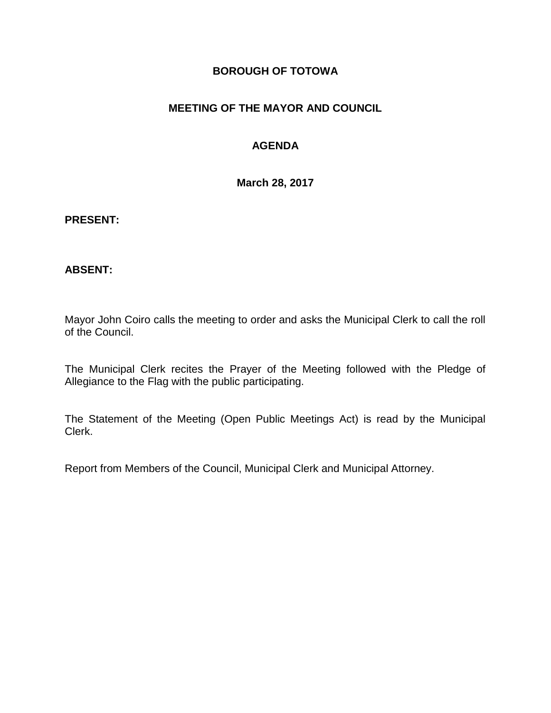### **BOROUGH OF TOTOWA**

## **MEETING OF THE MAYOR AND COUNCIL**

## **AGENDA**

**March 28, 2017**

#### **PRESENT:**

### **ABSENT:**

Mayor John Coiro calls the meeting to order and asks the Municipal Clerk to call the roll of the Council.

The Municipal Clerk recites the Prayer of the Meeting followed with the Pledge of Allegiance to the Flag with the public participating.

The Statement of the Meeting (Open Public Meetings Act) is read by the Municipal Clerk.

Report from Members of the Council, Municipal Clerk and Municipal Attorney.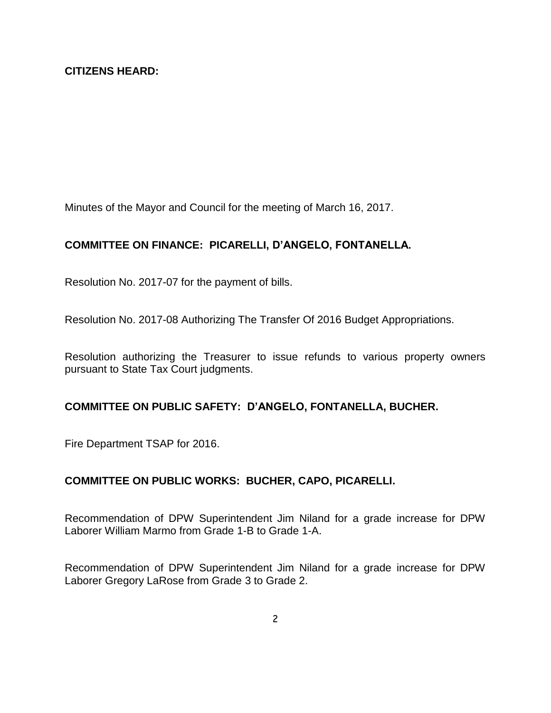Minutes of the Mayor and Council for the meeting of March 16, 2017.

# **COMMITTEE ON FINANCE: PICARELLI, D'ANGELO, FONTANELLA.**

Resolution No. 2017-07 for the payment of bills.

Resolution No. 2017-08 Authorizing The Transfer Of 2016 Budget Appropriations.

Resolution authorizing the Treasurer to issue refunds to various property owners pursuant to State Tax Court judgments.

## **COMMITTEE ON PUBLIC SAFETY: D'ANGELO, FONTANELLA, BUCHER.**

Fire Department TSAP for 2016.

### **COMMITTEE ON PUBLIC WORKS: BUCHER, CAPO, PICARELLI.**

Recommendation of DPW Superintendent Jim Niland for a grade increase for DPW Laborer William Marmo from Grade 1-B to Grade 1-A.

Recommendation of DPW Superintendent Jim Niland for a grade increase for DPW Laborer Gregory LaRose from Grade 3 to Grade 2.